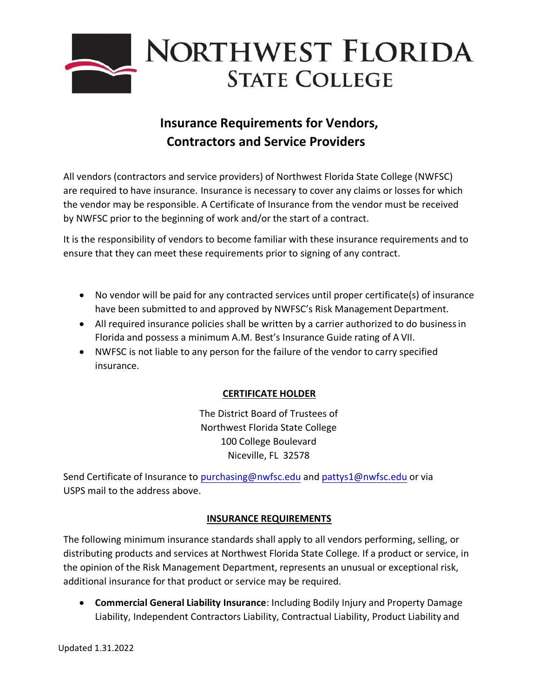

# **Insurance Requirements for Vendors, Contractors and Service Providers**

All vendors (contractors and service providers) of Northwest Florida State College (NWFSC) are required to have insurance. Insurance is necessary to cover any claims or losses for which the vendor may be responsible. A Certificate of Insurance from the vendor must be received by NWFSC prior to the beginning of work and/or the start of a contract.

It is the responsibility of vendors to become familiar with these insurance requirements and to ensure that they can meet these requirements prior to signing of any contract.

- No vendor will be paid for any contracted services until proper certificate(s) of insurance have been submitted to and approved by NWFSC's Risk Management Department.
- All required insurance policies shall be written by a carrier authorized to do businessin Florida and possess a minimum A.M. Best's Insurance Guide rating of A VII.
- NWFSC is not liable to any person for the failure of the vendor to carry specified insurance.

# **CERTIFICATE HOLDER**

The District Board of Trustees of Northwest Florida State College 100 College Boulevard Niceville, FL 32578

Send Certificate of Insurance to [purchasing@nwfsc.edu a](mailto:purchasing@nwfsc.edu)nd pattys1[@nwfsc.edu or](mailto:stephenz@nwfsc.edu) via USPS mail to the address above.

### **INSURANCE REQUIREMENTS**

The following minimum insurance standards shall apply to all vendors performing, selling, or distributing products and services at Northwest Florida State College. If a product or service, in the opinion of the Risk Management Department, represents an unusual or exceptional risk, additional insurance for that product or service may be required.

• **Commercial General Liability Insurance**: Including Bodily Injury and Property Damage Liability, Independent Contractors Liability, Contractual Liability, Product Liability and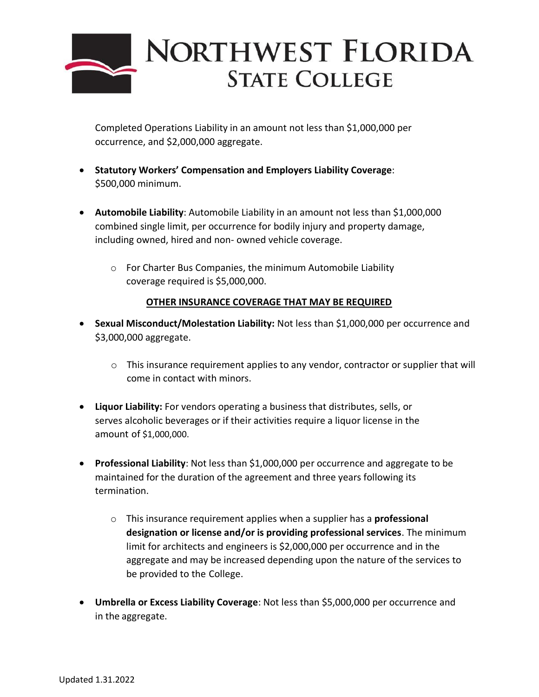

Completed Operations Liability in an amount not less than \$1,000,000 per occurrence, and \$2,000,000 aggregate.

- **Statutory Workers' Compensation and Employers Liability Coverage**: \$500,000 minimum.
- **Automobile Liability**: Automobile Liability in an amount not less than \$1,000,000 combined single limit, per occurrence for bodily injury and property damage, including owned, hired and non- owned vehicle coverage.
	- o For Charter Bus Companies, the minimum Automobile Liability coverage required is \$5,000,000.

### **OTHER INSURANCE COVERAGE THAT MAY BE REQUIRED**

- **Sexual Misconduct/Molestation Liability:** Not less than \$1,000,000 per occurrence and \$3,000,000 aggregate.
	- $\circ$  This insurance requirement applies to any vendor, contractor or supplier that will come in contact with minors.
- **Liquor Liability:** For vendors operating a business that distributes, sells, or serves alcoholic beverages or if their activities require a liquor license in the amount of \$1,000,000.
- **Professional Liability**: Not less than \$1,000,000 per occurrence and aggregate to be maintained for the duration of the agreement and three years following its termination.
	- o This insurance requirement applies when a supplier has a **professional designation or license and/or is providing professional services**. The minimum limit for architects and engineers is \$2,000,000 per occurrence and in the aggregate and may be increased depending upon the nature of the services to be provided to the College.
- **Umbrella or Excess Liability Coverage**: Not less than \$5,000,000 per occurrence and in the aggregate.